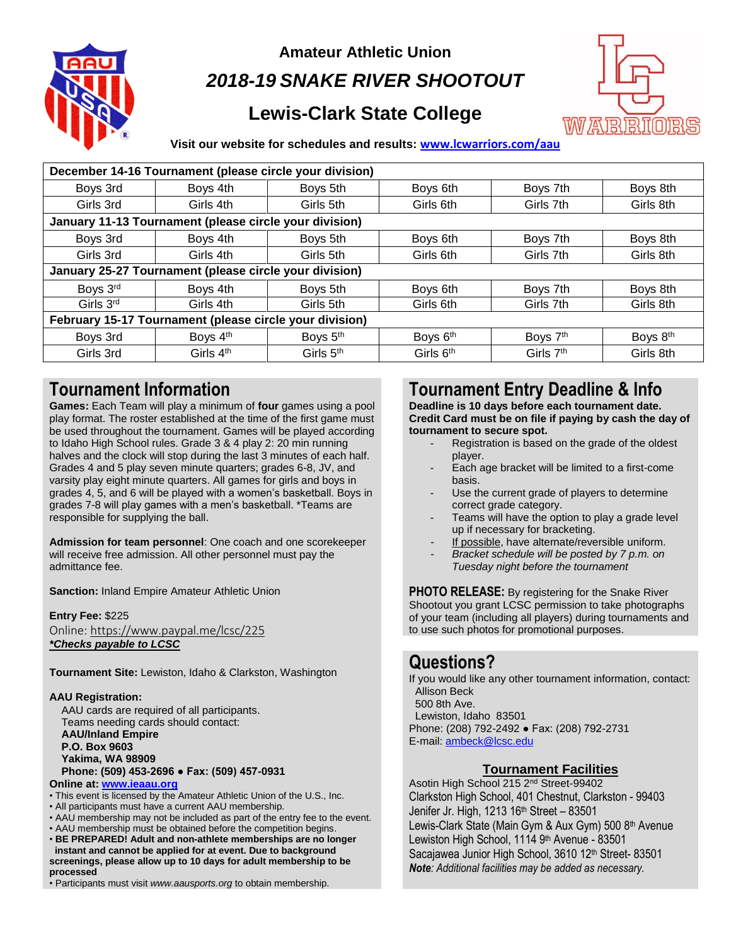

**Amateur Athletic Union**

*2018-19 SNAKE RIVER SHOOTOUT*

# **Lewis-Clark State College**



#### **Visit our website for schedules and results: [www.lcwarriors.com/aau](http://www.lcwarriors.com/aau)**

| December 14-16 Tournament (please circle your division) |                       |                      |                       |             |           |
|---------------------------------------------------------|-----------------------|----------------------|-----------------------|-------------|-----------|
| Boys 3rd                                                | Boys 4th              | Boys 5th             | Boys 6th              | Boys 7th    | Boys 8th  |
| Girls 3rd                                               | Girls 4th             | Girls 5th            | Girls 6th             | Girls 7th   | Girls 8th |
| January 11-13 Tournament (please circle your division)  |                       |                      |                       |             |           |
| Boys 3rd                                                | Boys 4th              | Boys 5th             | Boys 6th              | Boys 7th    | Boys 8th  |
| Girls 3rd                                               | Girls 4th             | Girls 5th            | Girls 6th             | Girls 7th   | Girls 8th |
| January 25-27 Tournament (please circle your division)  |                       |                      |                       |             |           |
| Boys 3rd                                                | Boys 4th              | Boys 5th             | Boys 6th              | Boys 7th    | Boys 8th  |
| Girls 3rd                                               | Girls 4th             | Girls 5th            | Girls 6th             | Girls 7th   | Girls 8th |
| February 15-17 Tournament (please circle your division) |                       |                      |                       |             |           |
| Boys 3rd                                                | Boys $4th$            | Boys 5 <sup>th</sup> | Boys 6th              | Boys 7th    | Boys 8th  |
| Girls 3rd                                               | Girls 4 <sup>th</sup> | Girls $5th$          | Girls 6 <sup>th</sup> | Girls $7th$ | Girls 8th |

## **Tournament Information**

**Games:** Each Team will play a minimum of **four** games using a pool play format. The roster established at the time of the first game must be used throughout the tournament. Games will be played according to Idaho High School rules. Grade 3 & 4 play 2: 20 min running halves and the clock will stop during the last 3 minutes of each half. Grades 4 and 5 play seven minute quarters; grades 6-8, JV, and varsity play eight minute quarters. All games for girls and boys in grades 4, 5, and 6 will be played with a women's basketball. Boys in grades 7-8 will play games with a men's basketball. \*Teams are responsible for supplying the ball.

**Admission for team personnel**: One coach and one scorekeeper will receive free admission. All other personnel must pay the admittance fee.

**Sanction:** Inland Empire Amateur Athletic Union

**Entry Fee:** \$225 Online[: https://www.paypal.me/lcsc/225](https://www.paypal.me/lcsc/225) *\*Checks payable to LCSC*

**Tournament Site:** Lewiston, Idaho & Clarkston, Washington

#### **AAU Registration:**

 AAU cards are required of all participants. Teams needing cards should contact:  **AAU/Inland Empire P.O. Box 9603 Yakima, WA 98909 Phone: (509) 453-2696 ● Fax: (509) 457-0931 Online at: [www.ieaau.org](http://www.ieaau.org/)**

- This event is licensed by the Amateur Athletic Union of the U.S., Inc.
- All participants must have a current AAU membership.
- AAU membership may not be included as part of the entry fee to the event.
- AAU membership must be obtained before the competition begins.
- **BE PREPARED! Adult and non-athlete memberships are no longer instant and cannot be applied for at event. Due to background screenings, please allow up to 10 days for adult membership to be processed**

• Participants must visit *www.aausports.org* to obtain membership.

## **Tournament Entry Deadline & Info**

**Deadline is 10 days before each tournament date. Credit Card must be on file if paying by cash the day of tournament to secure spot.**

- Registration is based on the grade of the oldest player.
- Each age bracket will be limited to a first-come basis.
- Use the current grade of players to determine correct grade category.
- Teams will have the option to play a grade level up if necessary for bracketing.
- If possible, have alternate/reversible uniform.
- *Bracket schedule will be posted by 7 p.m. on Tuesday night before the tournament*

**PHOTO RELEASE:** By registering for the Snake River Shootout you grant LCSC permission to take photographs of your team (including all players) during tournaments and to use such photos for promotional purposes.

### **Questions?**

If you would like any other tournament information, contact: Allison Beck 500 8th Ave.

 Lewiston, Idaho 83501 Phone: (208) 792-2492 ● Fax: (208) 792-2731 E-mail: [ambeck@lcsc.edu](mailto:ambeck@lcsc.edu)

### **Tournament Facilities**

Asotin High School 215 2nd Street-99402 Clarkston High School, 401 Chestnut, Clarkston - 99403 Jenifer Jr. High, 1213 16th Street – 83501 Lewis-Clark State (Main Gym & Aux Gym) 500 8th Avenue Lewiston High School, 1114 9th Avenue - 83501 Sacajawea Junior High School, 3610 12<sup>th</sup> Street- 83501 *Note: Additional facilities may be added as necessary.*